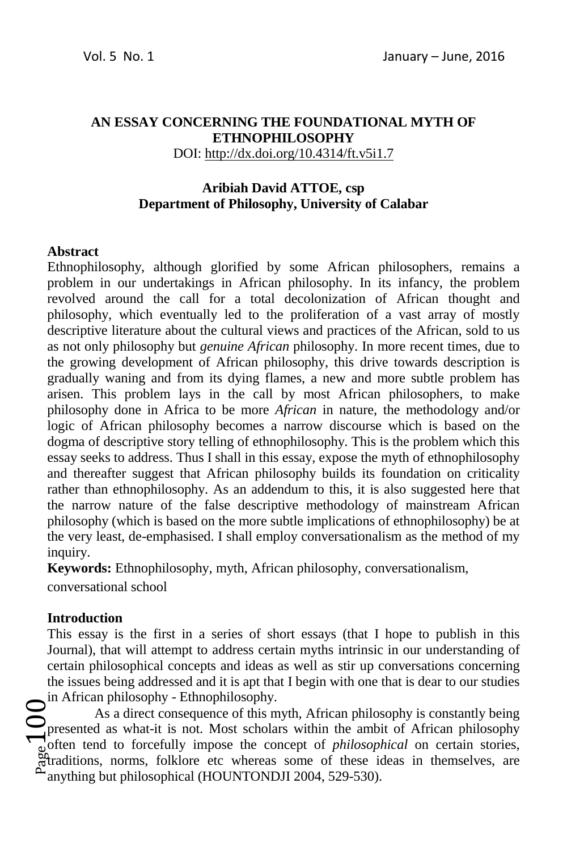## **AN ESSAY CONCERNING THE FOUNDATIONAL MYTH OF ETHNOPHILOSOPHY**  DOI: http://dx.doi.org/10.4314/ft.v5i1.7

## **Aribiah David ATTOE, csp Department of Philosophy, University of Calabar**

## **Abstract**

Ethnophilosophy, although glorified by some African philosophers, remains a problem in our undertakings in African philosophy. In its infancy, the problem revolved around the call for a total decolonization of African thought and philosophy, which eventually led to the proliferation of a vast array of mostly descriptive literature about the cultural views and practices of the African, sold to us as not only philosophy but *genuine African* philosophy. In more recent times, due to the growing development of African philosophy, this drive towards description is gradually waning and from its dying flames, a new and more subtle problem has arisen. This problem lays in the call by most African philosophers, to make philosophy done in Africa to be more *African* in nature, the methodology and/or logic of African philosophy becomes a narrow discourse which is based on the dogma of descriptive story telling of ethnophilosophy. This is the problem which this essay seeks to address. Thus I shall in this essay, expose the myth of ethnophilosophy and thereafter suggest that African philosophy builds its foundation on criticality rather than ethnophilosophy. As an addendum to this, it is also suggested here that the narrow nature of the false descriptive methodology of mainstream African philosophy (which is based on the more subtle implications of ethnophilosophy) be at the very least, de-emphasised. I shall employ conversationalism as the method of my inquiry.

**Keywords:** Ethnophilosophy, myth, African philosophy, conversationalism, conversational school

## **Introduction**

This essay is the first in a series of short essays (that I hope to publish in this Journal), that will attempt to address certain myths intrinsic in our understanding of certain philosophical concepts and ideas as well as stir up conversations concerning the issues being addressed and it is apt that I begin with one that is dear to our studies in African philosophy - Ethnophilosophy.

As a direct consequence of this myth, African philosophy is constantly being<br>presented as what-it is not. Most scholars within the ambit of African philosophy<br>often tend to forcefully impose the concept of *philosophical* As a direct consequence of this myth, African philosophy is constantly being presented as what-it is not. Most scholars within the ambit of African philosophy often tend to forcefully impose the concept of *philosophical* on certain stories, anything but philosophical (HOUNTONDJI 2004, 529-530).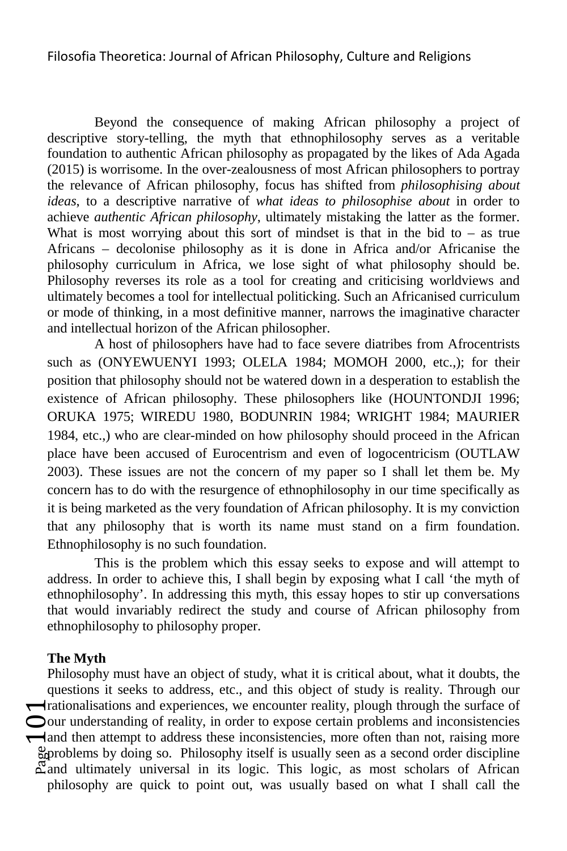## Filosofia Theoretica: Journal of African Philosophy, Culture and Religions

Beyond the consequence of making African philosophy a project of descriptive story-telling, the myth that ethnophilosophy serves as a veritable foundation to authentic African philosophy as propagated by the likes of Ada Agada (2015) is worrisome. In the over-zealousness of most African philosophers to portray the relevance of African philosophy, focus has shifted from *philosophising about ideas*, to a descriptive narrative of *what ideas to philosophise about* in order to achieve *authentic African philosophy*, ultimately mistaking the latter as the former. What is most worrying about this sort of mindset is that in the bid to  $-$  as true Africans – decolonise philosophy as it is done in Africa and/or Africanise the philosophy curriculum in Africa, we lose sight of what philosophy should be. Philosophy reverses its role as a tool for creating and criticising worldviews and ultimately becomes a tool for intellectual politicking. Such an Africanised curriculum or mode of thinking, in a most definitive manner, narrows the imaginative character and intellectual horizon of the African philosopher.

A host of philosophers have had to face severe diatribes from Afrocentrists such as (ONYEWUENYI 1993; OLELA 1984; MOMOH 2000, etc.,); for their position that philosophy should not be watered down in a desperation to establish the existence of African philosophy. These philosophers like (HOUNTONDJI 1996; ORUKA 1975; WIREDU 1980, BODUNRIN 1984; WRIGHT 1984; MAURIER 1984, etc.,) who are clear-minded on how philosophy should proceed in the African place have been accused of Eurocentrism and even of logocentricism (OUTLAW 2003). These issues are not the concern of my paper so I shall let them be. My concern has to do with the resurgence of ethnophilosophy in our time specifically as it is being marketed as the very foundation of African philosophy. It is my conviction that any philosophy that is worth its name must stand on a firm foundation. Ethnophilosophy is no such foundation.

This is the problem which this essay seeks to expose and will attempt to address. In order to achieve this, I shall begin by exposing what I call 'the myth of ethnophilosophy'. In addressing this myth, this essay hopes to stir up conversations that would invariably redirect the study and course of African philosophy from ethnophilosophy to philosophy proper.

#### **The Myth**

 $\sum_{\substack{\text{our} \\ \text{approx}}}$ <br> $\sum_{\substack{\text{supp} \\ \text{can}}}$ Philosophy must have an object of study, what it is critical about, what it doubts, the questions it seeks to address, etc., and this object of study is reality. Through our rationalisations and experiences, we encounter reality, plough through the surface of our understanding of reality, in order to expose certain problems and inconsistencies and then attempt to address these inconsistencies, more often than not, raising more problems by doing so. Philosophy itself is usually seen as a second order discipline  $\tilde{\alpha}$  and ultimately universal in its logic. This logic, as most scholars of African philosophy are quick to point out, was usually based on what I shall call the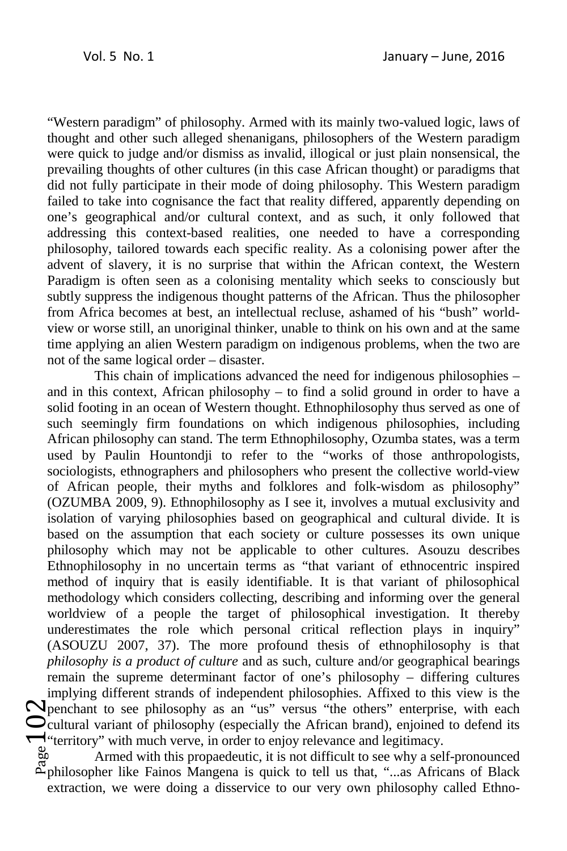"Western paradigm" of philosophy. Armed with its mainly two-valued logic, laws of thought and other such alleged shenanigans, philosophers of the Western paradigm were quick to judge and/or dismiss as invalid, illogical or just plain nonsensical, the prevailing thoughts of other cultures (in this case African thought) or paradigms that did not fully participate in their mode of doing philosophy. This Western paradigm failed to take into cognisance the fact that reality differed, apparently depending on one's geographical and/or cultural context, and as such, it only followed that addressing this context-based realities, one needed to have a corresponding philosophy, tailored towards each specific reality. As a colonising power after the advent of slavery, it is no surprise that within the African context, the Western Paradigm is often seen as a colonising mentality which seeks to consciously but subtly suppress the indigenous thought patterns of the African. Thus the philosopher from Africa becomes at best, an intellectual recluse, ashamed of his "bush" worldview or worse still, an unoriginal thinker, unable to think on his own and at the same time applying an alien Western paradigm on indigenous problems, when the two are not of the same logical order – disaster.

 $\sum_{\substack{\text{cu}\\ \text{the}}}$ This chain of implications advanced the need for indigenous philosophies – and in this context, African philosophy – to find a solid ground in order to have a solid footing in an ocean of Western thought. Ethnophilosophy thus served as one of such seemingly firm foundations on which indigenous philosophies, including African philosophy can stand. The term Ethnophilosophy, Ozumba states, was a term used by Paulin Hountondji to refer to the "works of those anthropologists, sociologists, ethnographers and philosophers who present the collective world-view of African people, their myths and folklores and folk-wisdom as philosophy" (OZUMBA 2009, 9). Ethnophilosophy as I see it, involves a mutual exclusivity and isolation of varying philosophies based on geographical and cultural divide. It is based on the assumption that each society or culture possesses its own unique philosophy which may not be applicable to other cultures. Asouzu describes Ethnophilosophy in no uncertain terms as "that variant of ethnocentric inspired method of inquiry that is easily identifiable. It is that variant of philosophical methodology which considers collecting, describing and informing over the general worldview of a people the target of philosophical investigation. It thereby underestimates the role which personal critical reflection plays in inquiry" (ASOUZU 2007, 37). The more profound thesis of ethnophilosophy is that *philosophy is a product of culture* and as such, culture and/or geographical bearings remain the supreme determinant factor of one's philosophy – differing cultures implying different strands of independent philosophies. Affixed to this view is the penchant to see philosophy as an "us" versus "the others" enterprise, with each  $\bigcirc$ cultural variant of philosophy (especially the African brand), enjoined to defend its "territory" with much verve, in order to enjoy relevance and legitimacy.<br>Armed with this propaedeutic, it is not difficult to see why a self-pronounced

Armed with this propaedeutic, it is not difficult to see why a self-pronounced philosopher like Fainos Mangena is quick to tell us that, "...as Africans of Black extraction, we were doing a disservice to our very own philosophy called Ethno-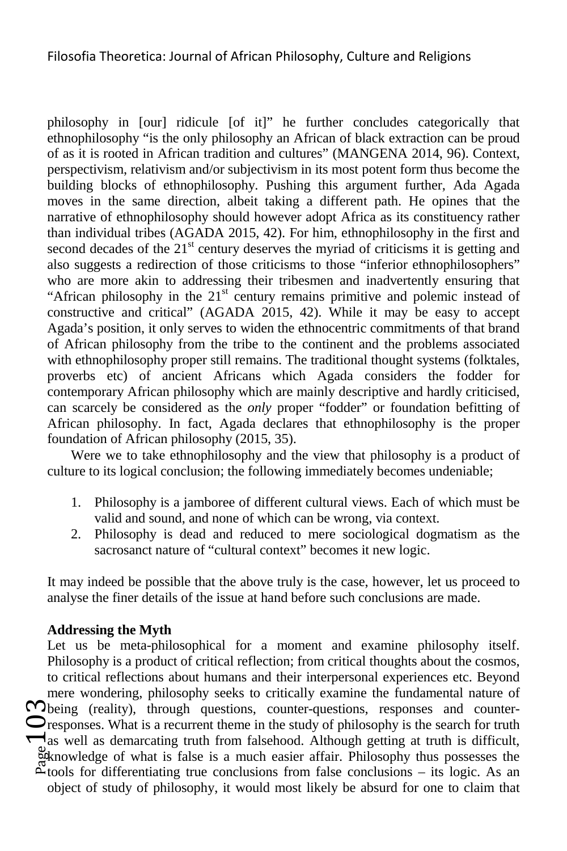## Filosofia Theoretica: Journal of African Philosophy, Culture and Religions

philosophy in [our] ridicule [of it]" he further concludes categorically that ethnophilosophy "is the only philosophy an African of black extraction can be proud of as it is rooted in African tradition and cultures" (MANGENA 2014, 96). Context, perspectivism, relativism and/or subjectivism in its most potent form thus become the building blocks of ethnophilosophy. Pushing this argument further, Ada Agada moves in the same direction, albeit taking a different path. He opines that the narrative of ethnophilosophy should however adopt Africa as its constituency rather than individual tribes (AGADA 2015, 42). For him, ethnophilosophy in the first and second decades of the  $21<sup>st</sup>$  century deserves the myriad of criticisms it is getting and also suggests a redirection of those criticisms to those "inferior ethnophilosophers" who are more akin to addressing their tribesmen and inadvertently ensuring that "African philosophy in the  $21<sup>st</sup>$  century remains primitive and polemic instead of constructive and critical" (AGADA 2015, 42). While it may be easy to accept Agada's position, it only serves to widen the ethnocentric commitments of that brand of African philosophy from the tribe to the continent and the problems associated with ethnophilosophy proper still remains. The traditional thought systems (folktales, proverbs etc) of ancient Africans which Agada considers the fodder for contemporary African philosophy which are mainly descriptive and hardly criticised, can scarcely be considered as the *only* proper "fodder" or foundation befitting of African philosophy. In fact, Agada declares that ethnophilosophy is the proper foundation of African philosophy (2015, 35).

Were we to take ethnophilosophy and the view that philosophy is a product of culture to its logical conclusion; the following immediately becomes undeniable;

- 1. Philosophy is a jamboree of different cultural views. Each of which must be valid and sound, and none of which can be wrong, via context.
- 2. Philosophy is dead and reduced to mere sociological dogmatism as the sacrosanct nature of "cultural context" becomes it new logic.

It may indeed be possible that the above truly is the case, however, let us proceed to analyse the finer details of the issue at hand before such conclusions are made.

## **Addressing the Myth**

 $\sum_{\substack{\text{best} \\ \text{right}}}$ Let us be meta-philosophical for a moment and examine philosophy itself. Philosophy is a product of critical reflection; from critical thoughts about the cosmos, to critical reflections about humans and their interpersonal experiences etc. Beyond mere wondering, philosophy seeks to critically examine the fundamental nature of being (reality), through questions, counter-questions, responses and counterresponses. What is a recurrent theme in the study of philosophy is the search for truth  $\Box$  as well as demarcating truth from falsehood. Although getting at truth is difficult, knowledge of what is false is a much easier affair. Philosophy thus possesses the  $\Delta$  tools for differentiating true conclusions from false conclusions – its logic. As an object of study of philosophy, it would most likely be absurd for one to claim that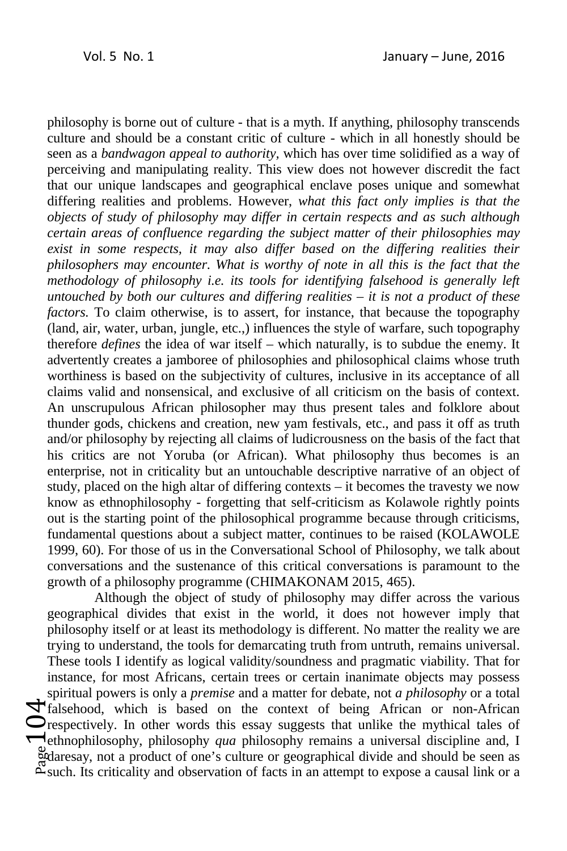philosophy is borne out of culture - that is a myth. If anything, philosophy transcends culture and should be a constant critic of culture - which in all honestly should be seen as a *bandwagon appeal to authority,* which has over time solidified as a way of perceiving and manipulating reality. This view does not however discredit the fact that our unique landscapes and geographical enclave poses unique and somewhat differing realities and problems. However, *what this fact only implies is that the objects of study of philosophy may differ in certain respects and as such although certain areas of confluence regarding the subject matter of their philosophies may*  exist in some respects, it may also differ based on the differing realities their *philosophers may encounter*. *What is worthy of note in all this is the fact that the methodology of philosophy i.e. its tools for identifying falsehood is generally left untouched by both our cultures and differing realities – it is not a product of these factors.* To claim otherwise, is to assert, for instance, that because the topography (land, air, water, urban, jungle, etc.,) influences the style of warfare, such topography therefore *defines* the idea of war itself – which naturally, is to subdue the enemy. It advertently creates a jamboree of philosophies and philosophical claims whose truth worthiness is based on the subjectivity of cultures, inclusive in its acceptance of all claims valid and nonsensical, and exclusive of all criticism on the basis of context. An unscrupulous African philosopher may thus present tales and folklore about thunder gods, chickens and creation, new yam festivals, etc., and pass it off as truth and/or philosophy by rejecting all claims of ludicrousness on the basis of the fact that his critics are not Yoruba (or African). What philosophy thus becomes is an enterprise, not in criticality but an untouchable descriptive narrative of an object of study, placed on the high altar of differing contexts – it becomes the travesty we now know as ethnophilosophy - forgetting that self-criticism as Kolawole rightly points out is the starting point of the philosophical programme because through criticisms, fundamental questions about a subject matter, continues to be raised (KOLAWOLE 1999, 60). For those of us in the Conversational School of Philosophy, we talk about conversations and the sustenance of this critical conversations is paramount to the growth of a philosophy programme (CHIMAKONAM 2015, 465).

 $\sum_{\substack{\text{et} \\ \text{add}}}^{\text{fail}}$ Although the object of study of philosophy may differ across the various geographical divides that exist in the world, it does not however imply that philosophy itself or at least its methodology is different. No matter the reality we are trying to understand, the tools for demarcating truth from untruth, remains universal. These tools I identify as logical validity/soundness and pragmatic viability. That for instance, for most Africans, certain trees or certain inanimate objects may possess spiritual powers is only a *premise* and a matter for debate, not *a philosophy* or a total falsehood, which is based on the context of being African or non-African  $\bullet$  respectively. In other words this essay suggests that unlike the mythical tales of ethnophilosophy, philosophy *qua* philosophy remains a universal discipline and, I daresay, not a product of one's culture or geographical divide and should be seen as  $\mathbb{Z}$  such. Its criticality and observation of facts in an attempt to expose a causal link or a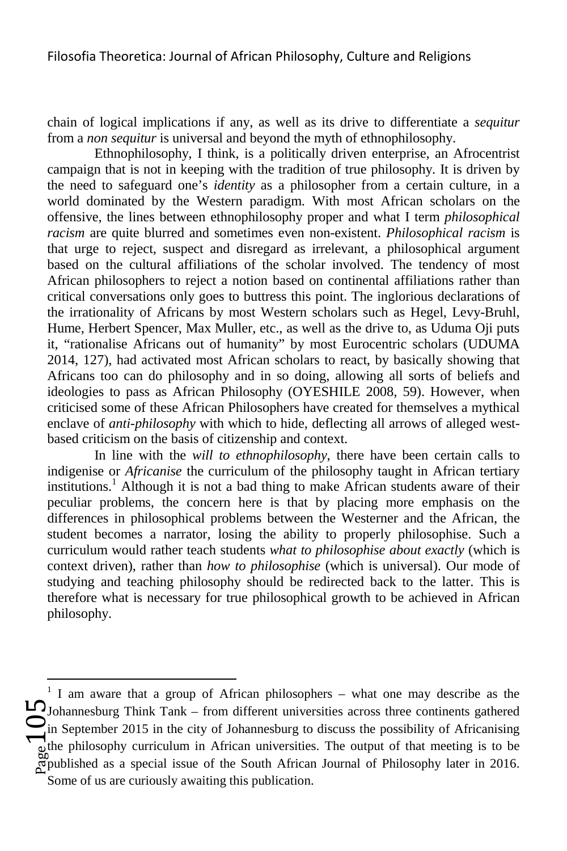chain of logical implications if any, as well as its drive to differentiate a *sequitur* from a *non sequitur* is universal and beyond the myth of ethnophilosophy.

Ethnophilosophy, I think, is a politically driven enterprise, an Afrocentrist campaign that is not in keeping with the tradition of true philosophy. It is driven by the need to safeguard one's *identity* as a philosopher from a certain culture, in a world dominated by the Western paradigm. With most African scholars on the offensive, the lines between ethnophilosophy proper and what I term *philosophical racism* are quite blurred and sometimes even non-existent. *Philosophical racism* is that urge to reject, suspect and disregard as irrelevant, a philosophical argument based on the cultural affiliations of the scholar involved. The tendency of most African philosophers to reject a notion based on continental affiliations rather than critical conversations only goes to buttress this point. The inglorious declarations of the irrationality of Africans by most Western scholars such as Hegel, Levy-Bruhl, Hume, Herbert Spencer, Max Muller, etc., as well as the drive to, as Uduma Oji puts it, "rationalise Africans out of humanity" by most Eurocentric scholars (UDUMA 2014, 127), had activated most African scholars to react, by basically showing that Africans too can do philosophy and in so doing, allowing all sorts of beliefs and ideologies to pass as African Philosophy (OYESHILE 2008, 59). However, when criticised some of these African Philosophers have created for themselves a mythical enclave of *anti-philosophy* with which to hide, deflecting all arrows of alleged westbased criticism on the basis of citizenship and context.

In line with the *will to ethnophilosophy*, there have been certain calls to indigenise or *Africanise* the curriculum of the philosophy taught in African tertiary institutions.<sup>1</sup> Although it is not a bad thing to make African students aware of their peculiar problems, the concern here is that by placing more emphasis on the differences in philosophical problems between the Westerner and the African, the student becomes a narrator, losing the ability to properly philosophise. Such a curriculum would rather teach students *what to philosophise about exactly* (which is context driven), rather than *how to philosophise* (which is universal). Our mode of studying and teaching philosophy should be redirected back to the latter. This is therefore what is necessary for true philosophical growth to be achieved in African philosophy.

<u>.</u>

 $\sum_{\substack{\text{sub} \text{sub} \ \text{gen} } }$  $<sup>1</sup>$  I am aware that a group of African philosophers – what one may describe as the</sup> Johannesburg Think Tank – from different universities across three continents gathered in September 2015 in the city of Johannesburg to discuss the possibility of Africanising  $_{\text{L}}$ the philosophy curriculum in African universities. The output of that meeting is to be published as a special issue of the South African Journal of Philosophy later in 2016. Some of us are curiously awaiting this publication.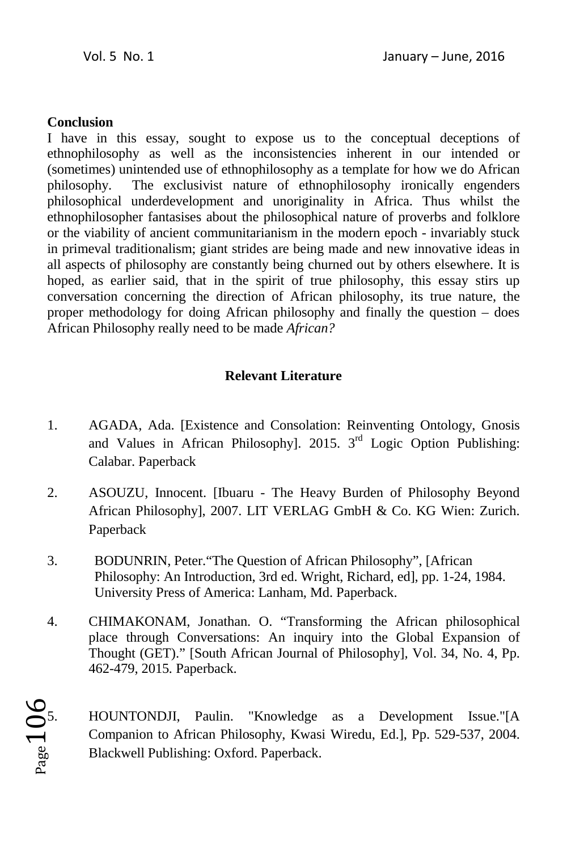# **Conclusion**

I have in this essay, sought to expose us to the conceptual deceptions of ethnophilosophy as well as the inconsistencies inherent in our intended or (sometimes) unintended use of ethnophilosophy as a template for how we do African philosophy. The exclusivist nature of ethnophilosophy ironically engenders philosophical underdevelopment and unoriginality in Africa. Thus whilst the ethnophilosopher fantasises about the philosophical nature of proverbs and folklore or the viability of ancient communitarianism in the modern epoch - invariably stuck in primeval traditionalism; giant strides are being made and new innovative ideas in all aspects of philosophy are constantly being churned out by others elsewhere. It is hoped, as earlier said, that in the spirit of true philosophy, this essay stirs up conversation concerning the direction of African philosophy, its true nature, the proper methodology for doing African philosophy and finally the question – does African Philosophy really need to be made *African?*

# **Relevant Literature**

- 1. AGADA, Ada. [Existence and Consolation: Reinventing Ontology, Gnosis and Values in African Philosophy]. 2015.  $3<sup>rd</sup>$  Logic Option Publishing: Calabar. Paperback
- 2. ASOUZU, Innocent. [Ibuaru The Heavy Burden of Philosophy Beyond African Philosophy], 2007. LIT VERLAG GmbH & Co. KG Wien: Zurich. Paperback
- 3. BODUNRIN, Peter."The Question of African Philosophy", [African Philosophy: An Introduction, 3rd ed. Wright, Richard, ed], pp. 1-24, 1984. University Press of America: Lanham, Md. Paperback.
- 4. CHIMAKONAM, Jonathan. O. "Transforming the African philosophical place through Conversations: An inquiry into the Global Expansion of Thought (GET)." [South African Journal of Philosophy]*,* Vol. 34, No. 4, Pp. 462-479, 2015*.* Paperback.



5. HOUNTONDJI, Paulin. "Knowledge as a Development Issue."[A Companion to African Philosophy, Kwasi Wiredu, Ed.], Pp. 529-537, 2004. Blackwell Publishing: Oxford. Paperback.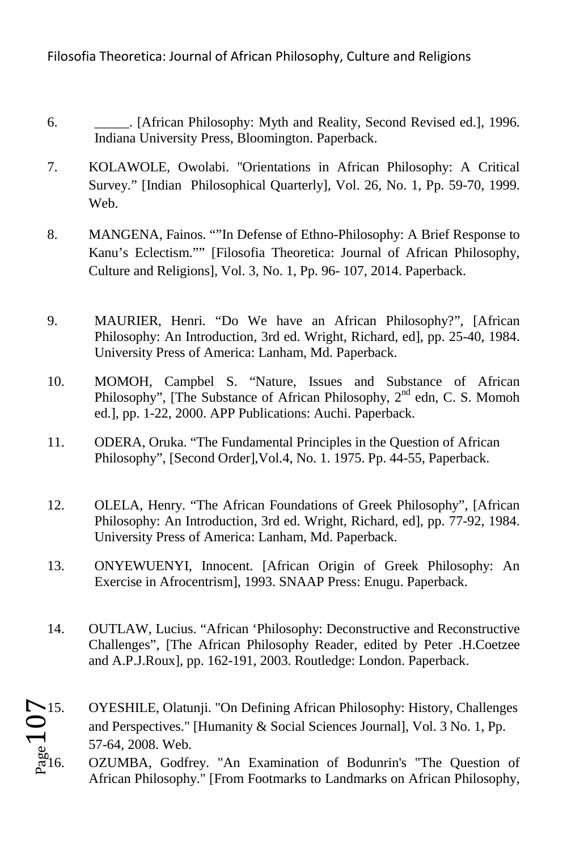Filosofia Theoretica: Journal of African Philosophy, Culture and Religions

- 6. \_\_\_\_\_. [African Philosophy: Myth and Reality, Second Revised ed.], 1996. Indiana University Press, Bloomington. Paperback.
- 7. KOLAWOLE, Owolabi. "Orientations in African Philosophy: A Critical Survey." [Indian Philosophical Quarterly], Vol. 26, No. 1, Pp. 59-70, 1999. Web.
- 8. MANGENA, Fainos. ""In Defense of Ethno-Philosophy: A Brief Response to Kanu's Eclectism."" [Filosofia Theoretica: Journal of African Philosophy, Culture and Religions], Vol. 3, No. 1, Pp. 96- 107, 2014. Paperback.
- 9. MAURIER, Henri. "Do We have an African Philosophy?", [African Philosophy: An Introduction, 3rd ed. Wright, Richard, ed], pp. 25-40, 1984. University Press of America: Lanham, Md. Paperback.
- 10. MOMOH, Campbel S. "Nature, Issues and Substance of African Philosophy", [The Substance of African Philosophy, 2<sup>nd</sup> edn, C. S. Momoh ed.], pp. 1-22, 2000. APP Publications: Auchi. Paperback.
- 11. ODERA, Oruka. "The Fundamental Principles in the Question of African Philosophy", [Second Order],Vol.4, No. 1. 1975. Pp. 44-55, Paperback.
- 12. OLELA, Henry. "The African Foundations of Greek Philosophy", [African Philosophy: An Introduction, 3rd ed. Wright, Richard, ed], pp. 77-92, 1984. University Press of America: Lanham, Md. Paperback.
- 13. ONYEWUENYI, Innocent. [African Origin of Greek Philosophy: An Exercise in Afrocentrism], 1993. SNAAP Press: Enugu. Paperback.
- 14. OUTLAW, Lucius. "African 'Philosophy: Deconstructive and Reconstructive Challenges", [The African Philosophy Reader, edited by Peter .H.Coetzee and A.P.J.Roux], pp. 162-191, 2003. Routledge: London. Paperback.
- $\sum_{\substack{\text{ge} \text{def} \ 16.}}$ 15. OYESHILE, Olatunji. "On Defining African Philosophy: History, Challenges and Perspectives." [Humanity & Social Sciences Journal], Vol. 3 No. 1, Pp. 57-64, 2008. Web.
	- 16. OZUMBA, Godfrey. "An Examination of Bodunrin's "The Question of African Philosophy." [From Footmarks to Landmarks on African Philosophy,